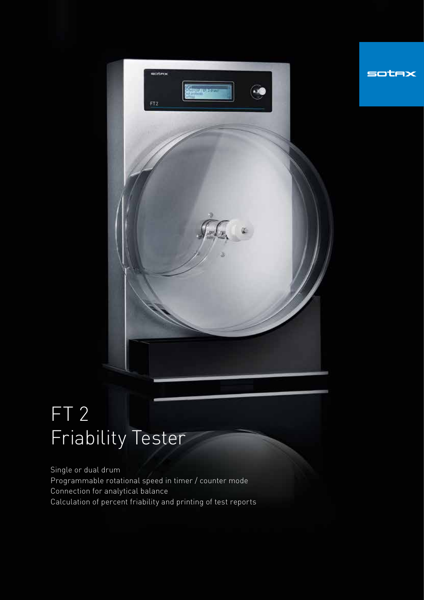

sotax

FT 2 Friability Tester

Single or dual drum Programmable rotational speed in timer / counter mode Connection for analytical balance Calculation of percent friability and printing of test reports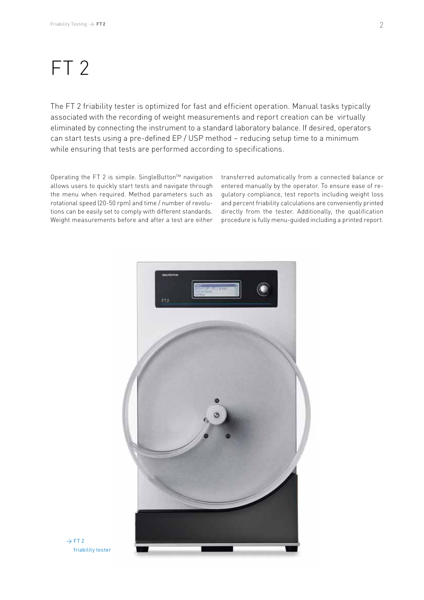## FT 2

The FT 2 friability tester is optimized for fast and efficient operation. Manual tasks typically associated with the recording of weight measurements and report creation can be virtually eliminated by connecting the instrument to a standard laboratory balance. If desired, operators can start tests using a pre-defined EP / USP method – reducing setup time to a minimum while ensuring that tests are performed according to specifications.

Operating the FT 2 is simple. SingleButton™ navigation allows users to quickly start tests and navigate through the menu when required. Method parameters such as rotational speed (20-50 rpm) and time / number of revolutions can be easily set to comply with different standards. Weight measurements before and after a test are either transferred automatically from a connected balance or entered manually by the operator. To ensure ease of regulatory compliance, test reports including weight loss and percent friability calculations are conveniently printed directly from the tester. Additionally, the qualification procedure is fully menu-guided including a printed report.



 $\rightarrow$  FT 2 friability tester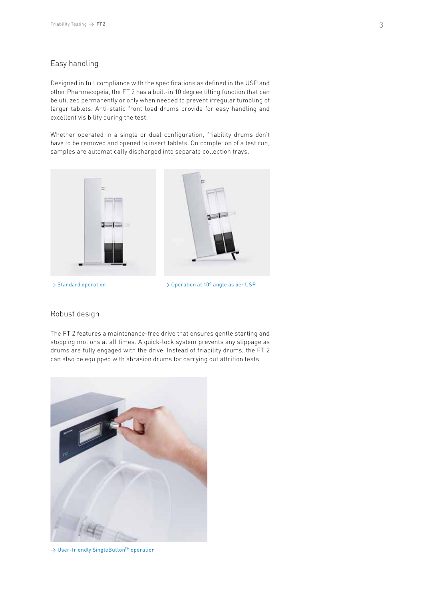## Easy handling

Designed in full compliance with the specifications as defined in the USP and other Pharmacopeia, the FT 2 has a built-in 10 degree tilting function that can be utilized permanently or only when needed to prevent irregular tumbling of larger tablets. Anti-static front-load drums provide for easy handling and excellent visibility during the test.

Whether operated in a single or dual configuration, friability drums don't have to be removed and opened to insert tablets. On completion of a test run, samples are automatically discharged into separate collection trays.



 $\rightarrow$  Standard operation

 $\rightarrow$  Operation at 10° angle as per USP

## Robust design

The FT 2 features a maintenance-free drive that ensures gentle starting and stopping motions at all times. A quick-lock system prevents any slippage as drums are fully engaged with the drive. Instead of friability drums, the FT 2 can also be equipped with abrasion drums for carrying out attrition tests.



→ User-friendly SingleButton<sup>™</sup> operation